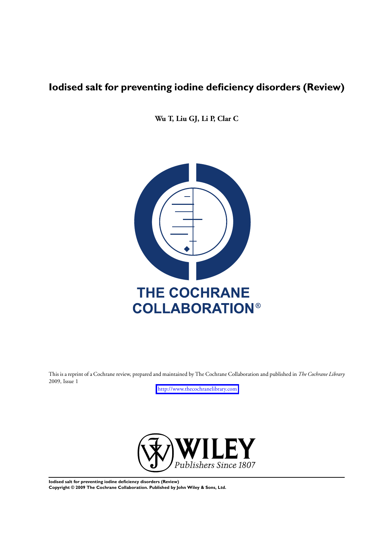# **Iodised salt for preventing iodine deficiency disorders (Review)**

**Wu T, Liu GJ, Li P, Clar C**



This is a reprint of a Cochrane review, prepared and maintained by The Cochrane Collaboration and published in *The Cochrane Library* 2009, Issue 1

<http://www.thecochranelibrary.com>



**Iodised salt for preventing iodine deficiency disorders (Review) Copyright © 2009 The Cochrane Collaboration. Published by John Wiley & Sons, Ltd.**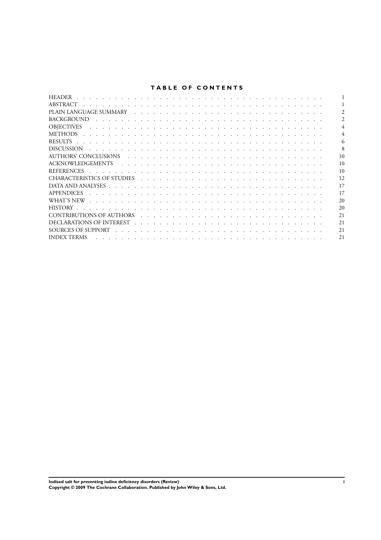# **TABLE OF CONTENTS**

| <b>HEADER</b>                                                                                                                           |               |
|-----------------------------------------------------------------------------------------------------------------------------------------|---------------|
| ABSTRACT                                                                                                                                |               |
|                                                                                                                                         | $\mathcal{D}$ |
| <b>BACKGROUND</b>                                                                                                                       | $\mathcal{P}$ |
| <b>OBIECTIVES</b>                                                                                                                       | 4             |
| <b>METHODS</b>                                                                                                                          |               |
| <b>RESULTS</b>                                                                                                                          | 6             |
| <b>DISCUSSION</b>                                                                                                                       | 8             |
| AUTHORS' CONCLUSIONS<br>the contract of the contract of the contract of the contract of the contract of the contract of the contract of | 10            |
| ACKNOWLEDGEMENTS                                                                                                                        | 10            |
| <b>REFERENCES</b>                                                                                                                       | 10            |
|                                                                                                                                         | 12            |
|                                                                                                                                         | 17            |
| <b>APPENDICES</b>                                                                                                                       | 17            |
| WHAT'S NEW                                                                                                                              | 20            |
|                                                                                                                                         | 20            |
| CONTRIBUTIONS OF AUTHORS                                                                                                                | 2.1           |
|                                                                                                                                         | 2.1           |
|                                                                                                                                         | 21            |
| <b>INDEX TERMS</b>                                                                                                                      | 2.1           |
|                                                                                                                                         |               |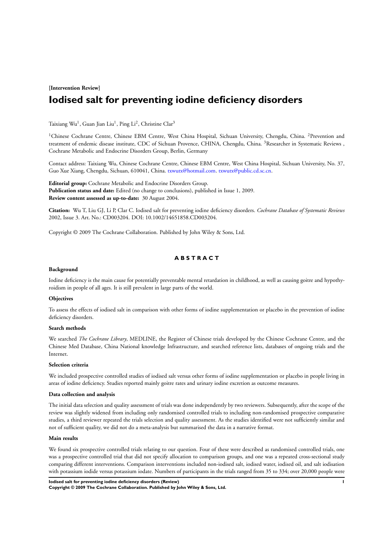### **[Intervention Review]**

# **Iodised salt for preventing iodine deficiency disorders**

### Taixiang Wu<sup>1</sup>, Guan Jian Liu<sup>1</sup>, Ping Li<sup>2</sup>, Christine Clar<sup>3</sup>

<sup>1</sup>Chinese Cochrane Centre, Chinese EBM Centre, West China Hospital, Sichuan University, Chengdu, China. <sup>2</sup>Prevention and treatment of endemic disease institute, CDC of Sichuan Provence, CHINA, Chengdu, China. <sup>3</sup>Researcher in Systematic Reviews, Cochrane Metabolic and Endocrine Disorders Group, Berlin, Germany

Contact address: Taixiang Wu, Chinese Cochrane Centre, Chinese EBM Centre, West China Hospital, Sichuan University, No. 37, Guo Xue Xiang, Chengdu, Sichuan, 610041, China. [txwutx@hotmail.com.](mailto:txwutx@hotmail.com) [txwutx@public.cd.sc.cn.](mailto:txwutx@public.cd.sc.cn)

**Editorial group:** Cochrane Metabolic and Endocrine Disorders Group. **Publication status and date:** Edited (no change to conclusions), published in Issue 1, 2009. **Review content assessed as up-to-date:** 30 August 2004.

**Citation:** Wu T, Liu GJ, Li P, Clar C. Iodised salt for preventing iodine deficiency disorders. *Cochrane Database of Systematic Reviews* 2002, Issue 3. Art. No.: CD003204. DOI: 10.1002/14651858.CD003204.

Copyright © 2009 The Cochrane Collaboration. Published by John Wiley & Sons, Ltd.

# **A B S T R A C T**

#### **Background**

Iodine deficiency is the main cause for potentially preventable mental retardation in childhood, as well as causing goitre and hypothyroidism in people of all ages. It is still prevalent in large parts of the world.

#### **Objectives**

To assess the effects of iodised salt in comparison with other forms of iodine supplementation or placebo in the prevention of iodine deficiency disorders.

### **Search methods**

We searched *The Cochrane Library*, MEDLINE, the Register of Chinese trials developed by the Chinese Cochrane Centre, and the Chinese Med Database, China National knowledge Infrastructure, and searched reference lists, databases of ongoing trials and the Internet.

#### **Selection criteria**

We included prospective controlled studies of iodised salt versus other forms of iodine supplementation or placebo in people living in areas of iodine deficiency. Studies reported mainly goitre rates and urinary iodine excretion as outcome measures.

### **Data collection and analysis**

The initial data selection and quality assessment of trials was done independently by two reviewers. Subsequently, after the scope of the review was slightly widened from including only randomised controlled trials to including non-randomised prospective comparative studies, a third reviewer repeated the trials selection and quality assessment. As the studies identified were not sufficiently similar and not of sufficient quality, we did not do a meta-analysis but summarised the data in a narrative format.

### **Main results**

We found six prospective controlled trials relating to our question. Four of these were described as randomised controlled trials, one was a prospective controlled trial that did not specify allocation to comparison groups, and one was a repeated cross-sectional study comparing different interventions. Comparison interventions included non-iodised salt, iodised water, iodised oil, and salt iodisation with potassium iodide versus potassium iodate. Numbers of participants in the trials ranged from 35 to 334; over 20,000 people were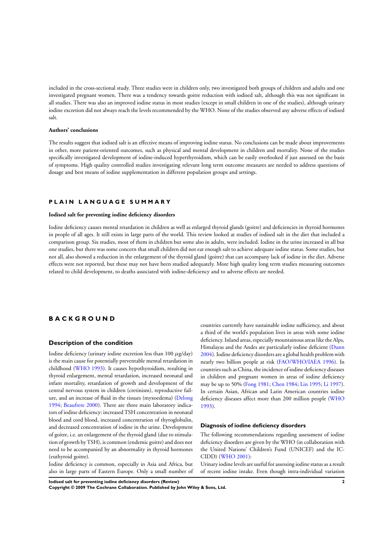included in the cross-sectional study. Three studies were in children only, two investigated both groups of children and adults and one investigated pregnant women. There was a tendency towards goitre reduction with iodised salt, although this was not significant in all studies. There was also an improved iodine status in most studies (except in small children in one of the studies), although urinary iodine excretion did not always reach the levels recommended by the WHO. None of the studies observed any adverse effects of iodised salt.

### **Authors' conclusions**

The results suggest that iodised salt is an effective means of improving iodine status. No conclusions can be made about improvements in other, more patient-oriented outcomes, such as physical and mental development in children and mortality. None of the studies specifically investigated development of iodine-induced hyperthyroidism, which can be easily overlooked if just assessed on the basis of symptoms. High quality controlled studies investigating relevant long term outcome measures are needed to address questions of dosage and best means of iodine supplementation in different population groups and settings.

### **P L A I N L A N G U A G E S U M M A R Y**

### **Iodised salt for preventing iodine deficiency disorders**

Iodine deficiency causes mental retardation in children as well as enlarged thyroid glands (goitre) and deficiencies in thyroid hormones in people of all ages. It still exists in large parts of the world. This review looked at studies of iodised salt in the diet that included a comparison group. Six studies, most of them in children but some also in adults, were included. Iodine in the urine increased in all but one studies, but there was some concern that small children did not eat enough salt to achieve adequate iodine status. Some studies, but not all, also showed a reduction in the enlargement of the thyroid gland (goitre) that can accompany lack of iodine in the diet. Adverse effects were not reported, but these may not have been studied adequately. More high quality long term studies measuring outcomes related to child development, to deaths associated with iodine-deficiency and to adverse effects are needed.

### **B A C K G R O U N D**

#### **Description of the condition**

Iodine deficiency (urinary iodine excretion less than 100  $\mu$ g/day) is the main cause for potentially preventable mental retardation in childhood [\(WHO 1993\)](#page-11-0). It causes hypothyroidism, resulting in thyroid enlargement, mental retardation, increased neonatal and infant mortality, retardation of growth and development of the central nervous system in children (cretinism), reproductive failure, and an increase of fluid in the tissues (myxoedema) [\(Delong](#page-11-0) [1994](#page-11-0); [Beaufrere 2000](#page-11-0)). There are three main laboratory indicators of iodine deficiency: increased TSH concentration in neonatal blood and cord blood, increased concentration of thyroglobulin, and decreased concentration of iodine in the urine. Development of goitre, i.e. an enlargement of the thyroid gland (due to stimulation of growth by TSH), is common (endemic goitre) and does not need to be accompanied by an abnormality in thyroid hormones (euthyroid goitre).

Iodine deficiency is common, especially in Asia and Africa, but also in large parts of Eastern Europe. Only a small number of countries currently have sustainable iodine sufficiency, and about a third of the world's population lives in areas with some iodine deficiency. Inland areas, especially mountainous areas like the Alps, Himalayas and the Andes are particularly iodine deficient [\(Dunn](#page-11-0) [2004](#page-11-0)). Iodine deficiency disorders are a global health problem with nearly two billion people at risk ([FAO/WHO/IAEA 1996](#page-11-0)). In countries such as China, the incidence of iodine deficiency diseases in children and pregnant women in areas of iodine deficiency may be up to 50% ([Fong 1981;](#page-11-0) [Chen 1984](#page-11-0); [Lin 1995](#page-11-0); [Li 1997](#page-11-0)). In certain Asian, African and Latin American countries iodine deficiency diseases affect more than 200 million people [\(WHO](#page-11-0) [1993](#page-11-0)).

#### **Diagnosis of iodine deficiency disorders**

The following recommendations regarding assessment of iodine deficiency disorders are given by the WHO (in collaboration with the United Nations' Children's Fund (UNICEF) and the IC-CIDD) ([WHO 2001\)](#page-11-0):

Urinary iodine levels are useful for assessing iodine status as a result of recent iodine intake. Even though intra-individual variation

**Iodised salt for preventing iodine deficiency disorders (Review) 2**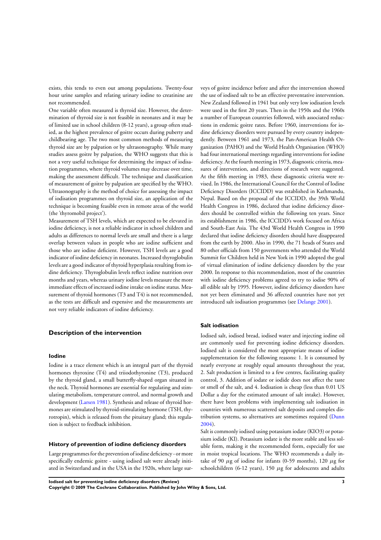exists, this tends to even out among populations. Twenty-four hour urine samples and relating urinary iodine to creatinine are not recommended.

One variable often measured is thyroid size. However, the determination of thyroid size is not feasible in neonates and it may be of limited use in school children (8-12 years), a group often studied, as the highest prevalence of goitre occurs during puberty and childbearing age. The two most common methods of measuring thyroid size are by palpation or by ultrasonography. While many studies assess goitre by palpation, the WHO suggests that this is not a very useful technique for determining the impact of iodisation programmes, where thyroid volumes may decrease over time, making the assessment difficult. The technique and classification of measurement of goitre by palpation are specified by the WHO. Ultrasonography is the method of choice for assessing the impact of iodisation programmes on thyroid size, an application of the technique is becoming feasible even in remote areas of the world (the 'thyromobil project').

Measurement of TSH levels, which are expected to be elevated in iodine deficiency, is not a reliable indicator in school children and adults as differences to normal levels are small and there is a large overlap between values in people who are iodine sufficient and those who are iodine deficient. However, TSH levels are a good indicator of iodine deficiency in neonates. Increased thyroglobulin levels are a good indicator of thyroid hyperplasia resulting from iodine deficiency. Thyroglobulin levels reflect iodine nutrition over months and years, whereas urinary iodine levels measure the more immediate effects of increased iodine intake on iodine status. Measurement of thyroid hormones (T3 and T4) is not recommended, as the tests are difficult and expensive and the measurements are not very reliable indicators of iodine deficiency.

#### **Description of the intervention**

#### **Iodine**

Iodine is a trace element which is an integral part of the thyroid hormones thyroxine (T4) and triiodothyronine (T3), produced by the thyroid gland, a small butterfly-shaped organ situated in the neck. Thyroid hormones are essential for regulating and stimulating metabolism, temperature control, and normal growth and development ([Larsen 1981\)](#page-11-0). Synthesis and release of thyroid hormones are stimulated by thyroid-stimulating hormone (TSH, thyrotropin), which is released from the pituitary gland; this regulation is subject to feedback inhibition.

#### **History of prevention of iodine deficiency disorders**

Large programmes for the prevention of iodine deficiency - or more specifically endemic goitre - using iodised salt were already initiated in Switzerland and in the USA in the 1920s, where large surveys of goitre incidence before and after the intervention showed the use of iodised salt to be an effective preventative intervention. New Zealand followed in 1941 but only very low iodisation levels were used in the first 20 years. Then in the 1950s and the 1960s a number of European countries followed, with associated reductions in endemic goitre rates. Before 1960, interventions for iodine deficiency disorders were pursued by every country independently. Between 1961 and 1973, the Pan-American Health Organization (PAHO) and the World Health Organisation (WHO) had four international meetings regarding interventions for iodine deficiency. At the fourth meeting in 1973, diagnostic criteria, measures of intervention, and directions of research were suggested. At the fifth meeting in 1983, these diagnostic criteria were revised. In 1986, the International Council for the Control of Iodine Deficiency Disorders (ICCIDD) was established in Kathmandu, Nepal. Based on the proposal of the ICCIDD, the 39th World Health Congress in 1986, declared that iodine deficiency disorders should be controlled within the following ten years. Since its establishment in 1986, the ICCIDD's work focused on Africa and South-East Asia. The 43rd World Health Congress in 1990 declared that iodine deficiency disorders should have disappeared from the earth by 2000. Also in 1990, the 71 heads of States and 80 other officials from 150 governments who attended the World Summit for Children held in New York in 1990 adopted the goal of virtual elimination of iodine deficiency disorders by the year 2000. In response to this recommendation, most of the countries with iodine deficiency problems agreed to try to iodise 90% of all edible salt by 1995. However, iodine deficiency disorders have not yet been eliminated and 36 affected countries have not yet introduced salt iodisation programmes (see [Delange 2001](#page-11-0)).

### **Salt iodisation**

Iodised salt, iodised bread, iodised water and injecting iodine oil are commonly used for preventing iodine deficiency disorders. Iodised salt is considered the most appropriate means of iodine supplementation for the following reasons: 1. It is consumed by nearly everyone at roughly equal amounts throughout the year, 2. Salt production is limited to a few centres, facilitating quality control, 3. Addition of iodate or iodide does not affect the taste or smell of the salt, and 4. Iodisation is cheap (less than 0.01 US Dollar a day for the estimated amount of salt intake). However, there have been problems with implementing salt iodisation in countries with numerous scattered salt deposits and complex distribution systems, so alternatives are sometimes required [\(Dunn](#page-11-0) [2004](#page-11-0)).

Salt is commonly iodised using potassium iodate (KIO3) or potassium iodide (KI). Potassium iodate is the more stable and less soluble form, making it the recommended form, especially for use in moist tropical locations. The WHO recommends a daily intake of 90  $\mu$ g of iodine for infants (0-59 months), 120  $\mu$ g for schoolchildren (6-12 years), 150  $\mu$ g for adolescents and adults

**Iodised salt for preventing iodine deficiency disorders (Review) 3**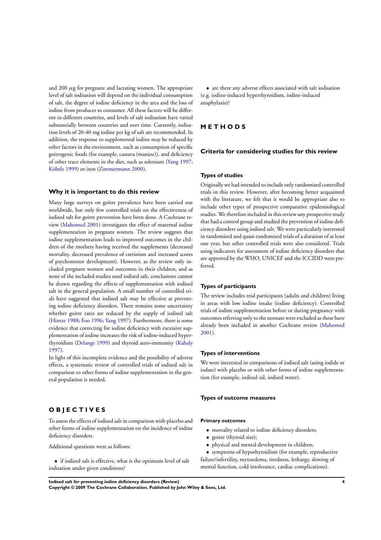and 200  $\mu$ g for pregnant and lactating women. The appropriate level of salt iodisation will depend on the individual consumption of salt, the degree of iodine deficiency in the area and the loss of iodine from producer to consumer. All these factors will be different in different countries, and levels of salt iodisation have varied substantially between countries and over time. Currently, iodisation levels of 20-40 mg iodine per kg of salt are recommended. In addition, the response to supplemental iodine may be reduced by other factors in the environment, such as consumption of specific goitrogenic foods (for example, cassava (manioc)), and deficiency of other trace elements in the diet, such as selenium ([Yang 1997;](#page-11-0) [Köhrle 1999](#page-11-0)) or iron ([Zimmermann 2000\)](#page-11-0).

#### **Why it is important to do this review**

Many large surveys on goitre prevalence have been carried out worldwide, but only few controlled trials on the effectiveness of iodised salt for goitre prevention have been done. A Cochrane review [\(Mahomed 2001](#page-11-0)) investigates the effect of maternal iodine supplementation in pregnant women. The review suggests that iodine supplementation leads to improved outcomes in the children of the mothers having received the supplements (decreased mortality, decreased prevalence of cretinism and increased scores of psychomotor development). However, as the review only included pregnant women and outcomes in their children, and as none of the included studies used iodised salt, conclusions cannot be drawn regarding the effects of supplementation with iodised salt in the general population. A small number of controlled trials have suggested that iodised salt may be effective at preventing iodine deficiency disorders. There remains some uncertainty whether goitre rates are reduced by the supply of iodised salt [\(Hintze 1988;](#page-11-0) [Foo 1996](#page-11-0); [Yang 1997](#page-11-0)). Furthermore, there is some evidence that correcting for iodine deficiency with excessive supplementation of iodine increases the risk of iodine-induced hyperthyroidism ([Delange 1999\)](#page-11-0) and thyroid auto-immunity [\(Kahaly](#page-11-0) [1997](#page-11-0)).

In light of this incomplete evidence and the possibility of adverse effects, a systematic review of controlled trials of iodised salt in comparison to other forms of iodine supplementation in the general population is needed.

### **O B J E C T I V E S**

To assess the effects of iodised salt in comparison with placebo and other forms of iodine supplementation on the incidence of iodine deficiency disorders.

Additional questions were as follows:

• if iodised salt is effective, what is the optimum level of salt iodisation under given conditions?

• are there any adverse effects associated with salt iodisation (e.g. iodine-induced hyperthyroidism, iodine-induced anaphylaxis)?

### **M E T H O D S**

#### **Criteria for considering studies for this review**

#### **Types of studies**

Originally we had intended to include only randomised controlled trials in this review. However, after becoming better acquainted with the literature, we felt that it would be appropriate also to include other types of prospective comparative epidemiological studies. We therefore included in this review any prospective study that had a control group and studied the prevention of iodine deficiency disorders using iodised salt. We were particularly interested in randomised and quasi-randomised trials of a duration of at least one year, but other controlled trials were also considered. Trials using indicators for assessment of iodine deficiency disorders that are approved by the WHO, UNICEF and the ICCIDD were preferred.

#### **Types of participants**

The review includes trial participants (adults and children) living in areas with low iodine intake (iodine deficiency). Controlled trials of iodine supplementation before or during pregnancy with outcomes referring only to the neonate were excluded as these have already been included in another Cochrane review [\(Mahomed](#page-11-0) [2001](#page-11-0)).

#### **Types of interventions**

We were interested in comparisons of iodised salt (using iodide or iodate) with placebo or with other forms of iodine supplementation (for example, iodised oil, iodised water).

#### **Types of outcome measures**

#### **Primary outcomes**

- mortality related to iodine deficiency disorders;
- goitre (thyroid size);
- physical and mental development in children;

• symptoms of hypothyroidism (for example, reproductive failure/infertility, myxoedema, tiredness, lethargy, slowing of mental function, cold intolerance, cardiac complications).

**Iodised salt for preventing iodine deficiency disorders (Review) 4**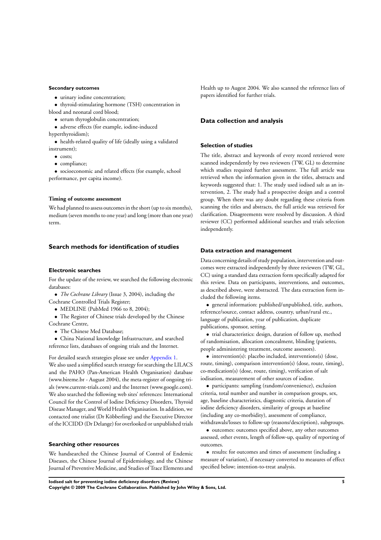#### **Secondary outcomes**

- urinary iodine concentration;
- thyroid-stimulating hormone (TSH) concentration in blood and neonatal cord blood;
	- serum thyroglobulin concentration;
	- adverse effects (for example, iodine-induced

hyperthyroidism);

• health-related quality of life (ideally using a validated instrument);

- costs:
- compliance;

• socioeconomic and related effects (for example, school performance, per capita income).

#### **Timing of outcome assessment**

We had planned to assess outcomes in the short (up to six months), medium (seven months to one year) and long (more than one year) term.

### **Search methods for identification of studies**

#### **Electronic searches**

For the update of the review, we searched the following electronic databases:

- *The Cochrane Library* (Issue 3, 2004), including the Cochrane Controlled Trials Register;
	- MEDLINE (PubMed 1966 to 8, 2004);

• The Register of Chinese trials developed by the Chinese Cochrane Centre,

• The Chinese Med Database;

• China National knowledge Infrastructure, and searched reference lists, databases of ongoing trials and the Internet.

### For detailed search strategies please see under [Appendix 1](#page-18-0).

We also used a simplified search strategy for searching the LILACS and the PAHO (Pan-American Health Organisation) database (www.bireme.br - August 2004), the meta-register of ongoing trials (www.current-trials.com) and the Internet (www.google.com). We also searched the following web sites' references: International Council for the Control of Iodine Deficiency Disorders, Thyroid Disease Manager, andWorld Health Organisation. In addition, we contacted one trialist (Dr Köbberling) and the Executive Director of the ICCIDD (Dr Delange) for overlooked or unpublished trials

#### **Searching other resources**

We handsearched the Chinese Journal of Control of Endemic Diseases, the Chinese Journal of Epidemiology, and the Chinese Journal of Preventive Medicine, and Studies of Trace Elements and Health up to Augest 2004. We also scanned the reference lists of papers identified for further trials.

### **Data collection and analysis**

#### **Selection of studies**

The title, abstract and keywords of every record retrieved were scanned independently by two reviewers (TW, GL) to determine which studies required further assessment. The full article was retrieved when the information given in the titles, abstracts and keywords suggested that: 1. The study used iodised salt as an intervention, 2. The study had a prospective design and a control group. When there was any doubt regarding these criteria from scanning the titles and abstracts, the full article was retrieved for clarification. Disagreements were resolved by discussion. A third reviewer (CC) performed additional searches and trials selection independently.

#### **Data extraction and management**

Data concerning details of study population, intervention and outcomes were extracted independently by three reviewers (TW, GL, CC) using a standard data extraction form specifically adapted for this review. Data on participants, interventions, and outcomes, as described above, were abstracted. The data extraction form included the following items.

• general information: published/unpublished, title, authors, reference/source, contact address, country, urban/rural etc., language of publication, year of publication, duplicate publications, sponsor, setting.

• trial characteristics: design, duration of follow up, method of randomisation, allocation concealment, blinding (patients, people administering treatment, outcome assessors).

• intervention(s): placebo included, interventions(s) (dose, route, timing), comparison intervention(s) (dose, route, timing), co-medication(s) (dose, route, timing), verification of salt iodisation, measurement of other sources of iodine.

• participants: sampling (random/convenience), exclusion criteria, total number and number in comparison groups, sex, age, baseline characteristics, diagnostic criteria, duration of iodine deficiency disorders, similarity of groups at baseline (including any co-morbidity), assessment of compliance, withdrawals/losses to follow-up (reasons/description), subgroups.

• outcomes: outcomes specified above, any other outcomes assessed, other events, length of follow-up, quality of reporting of outcomes.

• results: for outcomes and times of assessment (including a measure of variation), if necessary converted to measures of effect specified below; intention-to-treat analysis.

**Iodised salt for preventing iodine deficiency disorders (Review) 5**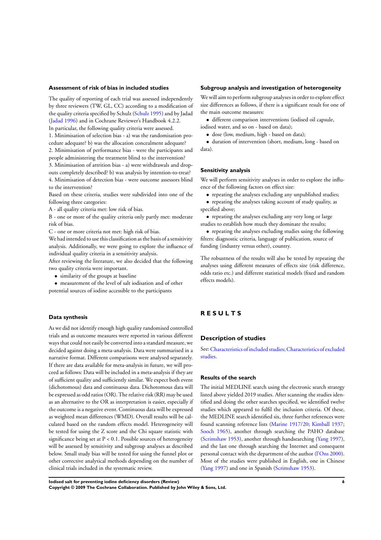### **Assessment of risk of bias in included studies**

The quality of reporting of each trial was assessed independently by three reviewers (TW, GL, CC) according to a modification of the quality criteria specified by Schulz ([Schulz 1995](#page-11-0)) and by Jadad [\(Jadad 1996\)](#page-11-0) and in Cochrane Reviewer's Handbook 4.2.2.

In particular, the following quality criteria were assessed.

1. Minimisation of selection bias - a) was the randomisation procedure adequate? b) was the allocation concealment adequate?

2. Minimisation of performance bias - were the participants and people administering the treatment blind to the intervention?

3. Minimisation of attrition bias - a) were withdrawals and dropouts completely described? b) was analysis by intention-to-treat? 4. Minimisation of detection bias - were outcome assessors blind to the intervention?

Based on these criteria, studies were subdivided into one of the following three categories:

A - all quality criteria met: low risk of bias.

B - one or more of the quality criteria only partly met: moderate risk of bias.

C - one or more criteria not met: high risk of bias.

We had intended to use this classification as the basis of a sensitivity analysis. Additionally, we were going to explore the influence of individual quality criteria in a sensitivity analysis.

After reviewing the literature, we also decided that the following two quality criteria were important.

• similarity of the groups at baseline

• measurement of the level of salt iodisation and of other

potential sources of iodine accessible to the participants

#### **Data synthesis**

As we did not identify enough high quality randomised controlled trials and as outcome measures were reported in various different ways that could not easily be converted into a standard measure, we decided against doing a meta-analysis. Data were summarised in a narrative format. Different comparisons were analysed separately. If there are data available for meta-analysis in future, we will proceed as follows: Data will be included in a meta-analysis if they are of sufficient quality and sufficiently similar. We expect both event (dichotomous) data and continuous data. Dichotomous data will be expressed as odd ratios (OR). The relative risk (RR) may be used as an alternative to the OR as interpretation is easier, especially if the outcome is a negative event. Continuous data will be expressed as weighted mean differences (WMD). Overall results will be calculated based on the random effects model. Heterogeneity will be tested for using the Z score and the Chi square statistic with significance being set at  $P < 0.1$ . Possible sources of heterogeneity will be assessed by sensitivity and subgroup analyses as described below. Small study bias will be tested for using the funnel plot or other corrective analytical methods depending on the number of clinical trials included in the systematic review.

### **Subgroup analysis and investigation of heterogeneity**

We will aim to perform subgroup analyses in order to explore effect size differences as follows, if there is a significant result for one of the main outcome measures:

• different comparison interventions (iodised oil capsule, iodised water, and so on - based on data);

• dose (low, medium, high - based on data);

• duration of intervention (short, medium, long - based on data).

#### **Sensitivity analysis**

We will perform sensitivity analyses in order to explore the influence of the following factors on effect size:

• repeating the analyses excluding any unpublished studies;

• repeating the analyses taking account of study quality, as specified above;

• repeating the analyses excluding any very long or large studies to establish how much they dominate the results;

• repeating the analyses excluding studies using the following filters: diagnostic criteria, language of publication, source of funding (industry versus other), country.

The robustness of the results will also be tested by repeating the analyses using different measures of effects size (risk difference, odds ratio etc.) and different statistical models (fixed and random effects models).

# **R E S U L T S**

### **Description of studies**

See:[Characteristics of included studies;](#page-14-0)[Characteristics of excluded](#page-17-0) [studies.](#page-17-0)

#### **Results of the search**

The initial MEDLINE search using the electronic search strategy listed above yielded 2019 studies. After scanning the studies identified and doing the other searches specified, we identified twelve studies which appeared to fulfil the inclusion criteria. Of these, the MEDLINE search identified six, three further references were found scanning reference lists [\(Marine 1917/20;](#page-11-0) [Kimball 1937;](#page-11-0) [Sooch 1965\)](#page-11-0), another through searching the PAHO database [\(Scrimshaw 1953\)](#page-11-0), another through handsearching ([Yang 1997](#page-11-0)), and the last one through searching the Internet and consequent personal contact with the department of the author [\(l'Ons 2000](#page-11-0)). Most of the studies were published in English, one in Chinese [\(Yang 1997](#page-11-0)) and one in Spanish ([Scrimshaw 1953\)](#page-11-0).

**Iodised salt for preventing iodine deficiency disorders (Review) 6 Copyright © 2009 The Cochrane Collaboration. Published by John Wiley & Sons, Ltd.**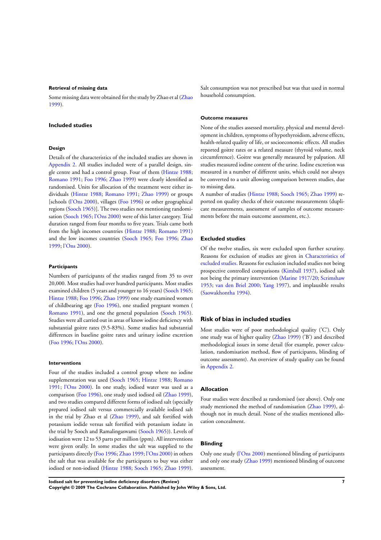#### **Retrieval of missing data**

Some missing data were obtained for the study by Zhao et al ([Zhao](#page-11-0) [1999](#page-11-0)).

#### **Included studies**

### **Design**

Details of the characteristics of the included studies are shown in [Appendix 2.](#page-19-0) All studies included were of a parallel design, single centre and had a control group. Four of them ([Hintze 1988;](#page-11-0) [Romano 1991;](#page-11-0) [Foo 1996;](#page-11-0) [Zhao 1999\)](#page-11-0) were clearly identified as randomised. Units for allocation of the treatment were either individuals ([Hintze 1988;](#page-11-0) [Romano 1991;](#page-11-0) [Zhao 1999\)](#page-11-0) or groups [schools ([l'Ons 2000](#page-11-0)), villages [\(Foo 1996](#page-11-0)) or other geographical regions ([Sooch 1965\)](#page-11-0)]. The two studies not mentioning randomi-sation ([Sooch 1965](#page-11-0); [l'Ons 2000](#page-11-0)) were of this latter category. Trial duration ranged from four months to five years. Trials came both from the high incomes countries ([Hintze 1988](#page-11-0); [Romano 1991](#page-11-0)) and the low incomes countries ([Sooch 1965](#page-11-0); [Foo 1996;](#page-11-0) [Zhao](#page-11-0) [1999](#page-11-0); [l'Ons 2000\)](#page-11-0).

#### **Participants**

Numbers of participants of the studies ranged from 35 to over 20,000. Most studies had over hundred participants. Most studies examined children (5 years and younger to 16 years) ([Sooch 1965;](#page-11-0) [Hintze 1988](#page-11-0); [Foo 1996](#page-11-0); [Zhao 1999\)](#page-11-0) one study examined women of childbearing age [\(Foo 1996\)](#page-11-0), one studied pregnant women ( [Romano 1991](#page-11-0)), and one the general population ([Sooch 1965](#page-11-0)). Studies were all carried out in areas of know iodine deficiency with substantial goitre rates (9.5-83%). Some studies had substantial differences in baseline goitre rates and urinary iodine excretion [\(Foo 1996;](#page-11-0) [l'Ons 2000](#page-11-0)).

#### **Interventions**

Four of the studies included a control group where no iodine supplementation was used [\(Sooch 1965](#page-11-0); [Hintze 1988](#page-11-0); [Romano](#page-11-0) [1991](#page-11-0); [l'Ons 2000\)](#page-11-0). In one study, iodised water was used as a comparison ([Foo 1996](#page-11-0)), one study used iodised oil [\(Zhao 1999](#page-11-0)), and two studies compared different forms of iodised salt (specially prepared iodised salt versus commercially available iodised salt in the trial by Zhao et al [\(Zhao 1999](#page-11-0)), and salt fortified with potassium iodide versus salt fortified with potassium iodate in the trial by Sooch and Ramalingaswami [\(Sooch 1965\)](#page-11-0)). Levels of iodisation were 12 to 53 parts per million (ppm). All interventions were given orally. In some studies the salt was supplied to the participants directly [\(Foo 1996](#page-11-0); [Zhao 1999](#page-11-0); [l'Ons 2000\)](#page-11-0) in others the salt that was available for the participants to buy was either iodised or non-iodised ([Hintze 1988](#page-11-0); [Sooch 1965](#page-11-0); [Zhao 1999](#page-11-0)).

Salt consumption was not prescribed but was that used in normal household consumption.

#### **Outcome measures**

None of the studies assessed mortality, physical and mental development in children, symptoms of hypothyroidism, adverse effects, health-related quality of life, or socioeconomic effects. All studies reported goitre rates or a related measure (thyroid volume, neck circumference). Goitre was generally measured by palpation. All studies measured iodine content of the urine. Iodine excretion was measured in a number of different units, which could not always be converted to a unit allowing comparison between studies, due to missing data.

A number of studies ([Hintze 1988;](#page-11-0) [Sooch 1965](#page-11-0); [Zhao 1999\)](#page-11-0) reported on quality checks of their outcome measurements (duplicate measurements, assessment of samples of outcome measurements before the main outcome assessment, etc.).

#### **Excluded studies**

Of the twelve studies, six were excluded upon further scrutiny. Reasons for exclusion of studies are given in [Characteristics of](#page-17-0) [excluded studies](#page-17-0). Reasons for exclusion included studies not being prospective controlled comparisons [\(Kimball 1937](#page-11-0)), iodised salt not being the primary intervention ([Marine 1917/20](#page-11-0); [Scrimshaw](#page-11-0) [1953](#page-11-0); [van den Briel 2000](#page-11-0); [Yang 1997\)](#page-11-0), and implausible results [\(Saowakhontha 1994](#page-11-0)).

### **Risk of bias in included studies**

Most studies were of poor methodological quality ('C'). Only one study was of higher quality [\(Zhao 1999\)](#page-11-0) ('B') and described methodological issues in some detail (for example, power calculation, randomisation method, flow of participants, blinding of outcome assessment). An overview of study quality can be found in [Appendix 2.](#page-19-0)

### **Allocation**

Four studies were described as randomised (see above). Only one study mentioned the method of randomisation ([Zhao 1999\)](#page-11-0), although not in much detail. None of the studies mentioned allocation concealment.

#### **Blinding**

Only one study [\(l'Ons 2000](#page-11-0)) mentioned blinding of participants and only one study [\(Zhao 1999\)](#page-11-0) mentioned blinding of outcome assessment.

**Iodised salt for preventing iodine deficiency disorders (Review) 7**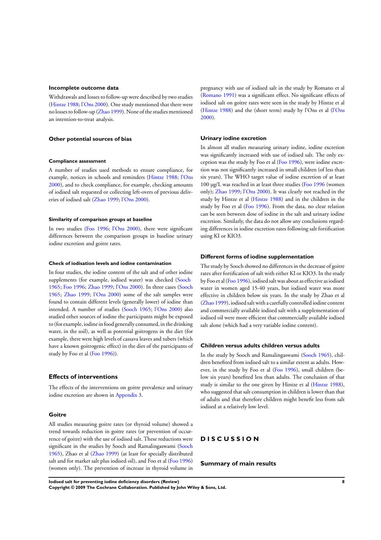### **Incomplete outcome data**

Withdrawals and losses to follow-up were described by two studies [\(Hintze 1988;](#page-11-0) [l'Ons 2000\)](#page-11-0). One study mentioned that there were no losses to follow-up ([Zhao 1999\)](#page-11-0). None of the studies mentioned an intention-to-treat analysis.

### **Other potential sources of bias**

#### **Compliance assessment**

A number of studies used methods to ensure compliance, for example, notices in schools and reminders [\(Hintze 1988;](#page-11-0) [l'Ons](#page-11-0) [2000](#page-11-0)), and to check compliance, for example, checking amounts of iodised salt requested or collecting left-overs of previous deliveries of iodised salt ([Zhao 1999](#page-11-0); [l'Ons 2000\)](#page-11-0).

#### **Similarity of comparison groups at baseline**

In two studies ([Foo 1996](#page-11-0); [l'Ons 2000](#page-11-0)), there were significant differences between the comparison groups in baseline urinary iodine excretion and goitre rates.

#### **Check of iodisation levels and iodine contamination**

In four studies, the iodine content of the salt and of other iodine supplements (for example, iodised water) was checked ([Sooch](#page-11-0) [1965](#page-11-0); [Foo 1996;](#page-11-0) [Zhao 1999](#page-11-0); [l'Ons 2000](#page-11-0)). In three cases ([Sooch](#page-11-0) [1965](#page-11-0); [Zhao 1999](#page-11-0); [l'Ons 2000](#page-11-0)) some of the salt samples were found to contain different levels (generally lower) of iodine than intended. A number of studies ([Sooch 1965;](#page-11-0) [l'Ons 2000\)](#page-11-0) also studied other sources of iodine the participants might be exposed to (for example, iodine infood generally consumed, in the drinking water, in the soil), as well as potential goitrogens in the diet (for example, there were high levels of cassava leaves and tubers (which have a known goitrogenic effect) in the diet of the participants of study by Foo et al ([Foo 1996\)](#page-11-0)).

### **Effects of interventions**

The effects of the interventions on goitre prevalence and urinary iodine excretion are shown in [Appendix 3.](#page-19-0)

#### **Goitre**

All studies measuring goitre rates (or thyroid volume) showed a trend towards reduction in goitre rates (or prevention of occurrence of goitre) with the use of iodised salt. These reductions were significant in the studies by Sooch and Ramalingaswami ([Sooch](#page-11-0) [1965](#page-11-0)), Zhao et al ([Zhao 1999](#page-11-0)) (at least for specially distributed salt and for market salt plus iodised oil), and Foo et al [\(Foo 1996](#page-11-0)) (women only). The prevention of increase in thyroid volume in pregnancy with use of iodised salt in the study by Romano et al [\(Romano 1991](#page-11-0)) was a significant effect. No significant effects of iodised salt on goitre rates were seen in the study by Hintze et al [\(Hintze 1988\)](#page-11-0) and the (short term) study by l'Ons et al [\(l'Ons](#page-11-0) [2000](#page-11-0)).

#### **Urinary iodine excretion**

In almost all studies measuring urinary iodine, iodine excretion was significantly increased with use of iodised salt. The only exception was the study by Foo et al [\(Foo 1996\)](#page-11-0), were iodine excretion was not significantly increased in small children (of less than six years). The WHO target value of iodine excretion of at least 100 µg/L was reached in at least three studies ([Foo 1996](#page-11-0) (women only); [Zhao 1999](#page-11-0); [l'Ons 2000](#page-11-0)). It was clearly not reached in the study by Hintze et al ([Hintze 1988](#page-11-0)) and in the children in the study by Foo et al [\(Foo 1996](#page-11-0)). From the data, no clear relation can be seen between dose of iodine in the salt and urinary iodine excretion. Similarly, the data do not allow any conclusions regarding differences in iodine excretion rates following salt fortification using KI or KIO3.

#### **Different forms of iodine supplementation**

The study by Sooch showed no differences in the decrease of goitre rates after fortification of salt with either KI or KIO3. In the study by Foo et al [\(Foo 1996\)](#page-11-0), iodised salt was about as effective as iodised water in women aged 15-40 years, but iodised water was more effective in children below six years. In the study by Zhao et al [\(Zhao 1999\)](#page-11-0), iodised salt with a carefully controlled iodine content and commercially available iodised salt with a supplementation of iodised oil were more efficient that commercially available iodised salt alone (which had a very variable iodine content).

#### **Children versus adults children versus adults**

In the study by Sooch and Ramalingaswami [\(Sooch 1965\)](#page-11-0), children benefited from iodised salt to a similar extent as adults. However, in the study by Foo et al [\(Foo 1996\)](#page-11-0), small children (below six years) benefited less than adults. The conclusion of that study is similar to the one given by Hintze et al [\(Hintze 1988](#page-11-0)), who suggested that salt consumption in children is lower than that of adults and that therefore children might benefit less from salt iodised at a relatively low level.

### **D I S C U S S I O N**

### **Summary of main results**

**Iodised salt for preventing iodine deficiency disorders (Review) 8**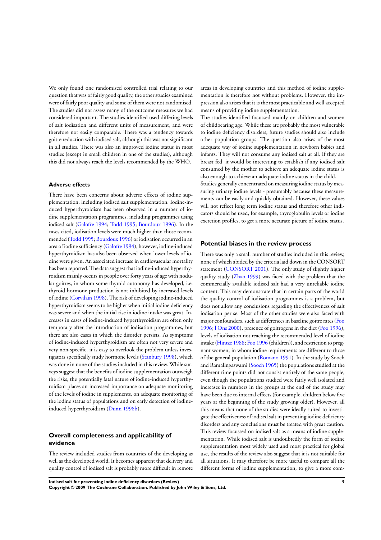We only found one randomised controlled trial relating to our question that was of fairly good quality, the other studies examined were of fairly poor quality and some of them were not randomised. The studies did not assess many of the outcome measures we had considered important. The studies identified used differing levels of salt iodisation and different units of measurement, and were therefore not easily comparable. There was a tendency towards goitre reduction with iodised salt, although this was not significant in all studies. There was also an improved iodine status in most studies (except in small children in one of the studies), although this did not always reach the levels recommended by the WHO.

#### **Adverse effects**

There have been concerns about adverse effects of iodine supplementation, including iodised salt supplementation. Iodine-induced hyperthyroidism has been observed in a number of iodine supplementation programmes, including programmes using iodised salt ([Galofre 1994](#page-11-0); [Todd 1995;](#page-11-0) [Bourdoux 1996](#page-11-0)). In the cases cited, iodisation levels were much higher than those recommended ([Todd 1995](#page-11-0); [Bourdoux 1996](#page-11-0)) or iodisation occurred in an area of iodine sufficiency [\(Galofre 1994\)](#page-11-0), however, iodine-induced hyperthyroidism has also been observed when lower levels of iodine were given. An associated increase in cardiovascular mortality has been reported. The data suggest that iodine-induced hyperthyroidism mainly occurs in people over forty years of age with nodular goitres, in whom some thyroid autonomy has developed, i.e. thyroid hormone production is not inhibited by increased levels of iodine [\(Corvilain 1998\)](#page-11-0). The risk of developing iodine-induced hyperthyroidism seems to be higher when initial iodine deficiency was severe and when the initial rise in iodine intake was great. Increases in cases of iodine-induced hyperthyroidism are often only temporary after the introduction of iodisation programmes, but there are also cases in which the disorder persists. As symptoms of iodine-induced hyperthyroidism are often not very severe and very non-specific, it is easy to overlook the problem unless investigators specifically study hormone levels [\(Stanbury 1998\)](#page-11-0), which was done in none of the studies included in this review. While surveys suggest that the benefits of iodine supplementation outweigh the risks, the potentially fatal nature of iodine-induced hyperthyroidism places an increased importance on adequate monitoring of the levels of iodine in supplements, on adequate monitoring of the iodine status of populations and on early detection of iodineinduced hyperthyroidism [\(Dunn 1998b\)](#page-11-0).

### **Overall completeness and applicability of evidence**

The review included studies from countries of the developing as well as the developed world. It becomes apparent that delivery and quality control of iodised salt is probably more difficult in remote areas in developing countries and this method of iodine supplementation is therefore not without problems. However, the impression also arises that it is the most practicable and well accepted means of providing iodine supplementation.

The studies identified focussed mainly on children and women of childbearing age. While these are probably the most vulnerable to iodine deficiency disorders, future studies should also include other population groups. The question also arises of the most adequate way of iodine supplementation in newborn babies and infants. They will not consume any iodised salt at all. If they are breast fed, it would be interesting to establish if any iodised salt consumed by the mother to achieve an adequate iodine status is also enough to achieve an adequate iodine status in the child.

Studies generally concentrated on measuring iodine status by measuring urinary iodine levels - presumably because these measurements can be easily and quickly obtained. However, these values will not reflect long term iodine status and therefore other indicators should be used, for example, thyroglobulin levels or iodine excretion profiles, to get a more accurate picture of iodine status.

#### **Potential biases in the review process**

There was only a small number of studies included in this review, none of which abided by the criteria laid down in the CONSORT statement [\(CONSORT 2001](#page-11-0)). The only study of slightly higher quality study ([Zhao 1999\)](#page-11-0) was faced with the problem that the commercially available iodised salt had a very unreliable iodine content. This may demonstrate that in certain parts of the world the quality control of iodisation programmes is a problem, but does not allow any conclusions regarding the effectiveness of salt iodisation per se. Most of the other studies were also faced with major confounders, such as differences in baseline goitre rates ([Foo](#page-11-0) [1996](#page-11-0); [l'Ons 2000](#page-11-0)), presence of goitrogens in the diet ([Foo 1996](#page-11-0)), levels of iodisation not reaching the recommended level of iodine intake ([Hintze 1988](#page-11-0); [Foo 1996](#page-11-0) (children)), and restriction to pregnant women, in whom iodine requirements are different to those of the general population [\(Romano 1991](#page-11-0)). In the study by Sooch and Ramalingaswami [\(Sooch 1965](#page-11-0)) the populations studied at the different time points did not consist entirely of the same people, even though the populations studied were fairly well isolated and increases in numbers in the groups at the end of the study may have been due to internal effects (for example, children below five years at the beginning of the study growing older). However, all this means that none of the studies were ideally suited to investigate the effectiveness of iodised salt in preventing iodine deficiency disorders and any conclusions must be treated with great caution. This review focussed on iodised salt as a means of iodine supplementation. While iodised salt is undoubtedly the form of iodine supplementation most widely used and most practical for global use, the results of the review also suggest that it is not suitable for all situations. It may therefore be more useful to compare all the different forms of iodine supplementation, to give a more com-

**Iodised salt for preventing iodine deficiency disorders (Review) 9**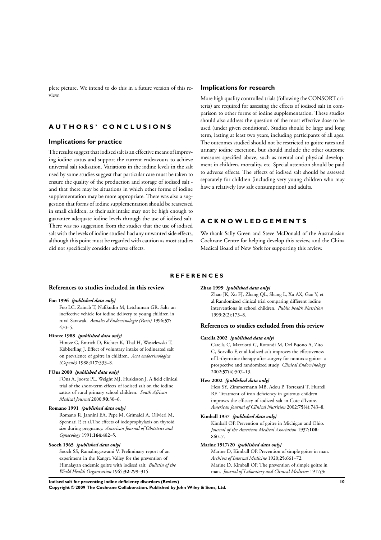<span id="page-11-0"></span>plete picture. We intend to do this in a future version of this review.

### **A U T H O R S ' C O N C L U S I O N S**

#### **Implications for practice**

The results suggest that iodised salt is an effective means of improving iodine status and support the current endeavours to achieve universal salt iodisation. Variations in the iodine levels in the salt used by some studies suggest that particular care must be taken to ensure the quality of the production and storage of iodised salt and that there may be situations in which other forms of iodine supplementation may be more appropriate. There was also a suggestion that forms of iodine supplementation should be reassessed in small children, as their salt intake may not be high enough to guarantee adequate iodine levels through the use of iodised salt. There was no suggestion from the studies that the use of iodised salt with the levels of iodine studied had any unwanted side effects, although this point must be regarded with caution as most studies did not specifically consider adverse effects.

#### **Implications for research**

More high quality controlled trials (following the CONSORT criteria) are required for assessing the effects of iodised salt in comparison to other forms of iodine supplementation. These studies should also address the question of the most effective dose to be used (under given conditions). Studies should be large and long term, lasting at least two years, including participants of all ages. The outcomes studied should not be restricted to goitre rates and urinary iodine excretion, but should include the other outcome measures specified above, such as mental and physical development in children, mortality, etc. Special attention should be paid to adverse effects. The effects of iodised salt should be assessed separately for children (including very young children who may have a relatively low salt consumption) and adults.

### **A C K N O W L E D G E M E N T S**

We thank Sally Green and Steve McDonald of the Australasian Cochrane Centre for helping develop this review, and the China Medical Board of New York for supporting this review.

### **R E F E R E N C E S**

### **References to studies included in this review**

#### **Foo 1996** *{published data only}*

Foo LC, Zainab T, Nafikudin M, Letchuman GR. Salt: an ineffective vehicle for iodine delivery to young children in rural Sarawak. *Annales d'Endocrinologie (Paris)* 1996;**57**: 470–5.

#### **Hintze 1988** *{published data only}*

Hintze G, Emrich D, Richter K, Thal H, Wasielewski T, Köbberling J. Effect of voluntary intake of iodineated salt on prevalence of goitre in children. *Acta endocrinologica (Copenh)* 1988;**117**:333–8.

#### **l'Ons 2000** *{published data only}*

l'Ons A, Jooste PL, Weight MJ, Huskisson J. A field clinical trial of the short-term effects of iodised salt on the iodine sattus of rural primary school children. *South African Medical Journal* 2000;**90**:30–6.

#### **Romano 1991** *{published data only}*

Romano R, Jannini EA, Pepe M, Grimaldi A, Olivieri M, Spennati P, et al.The effects of iodoprophylaxis on thyroid size during pregnancy. *American Journal of Obstetrics and Gynecology* 1991;**164**:482–5.

### **Sooch 1965** *{published data only}*

Sooch SS, Ramalingaswami V. Preliminary report of an experiment in the Kangra Valley for the prevention of Himalayan endemic goitre with iodised salt. *Bulletin of the World Health Organisation* 1965;**32**:299–315.

#### **Zhao 1999** *{published data only}*

Zhao JK, Xu FJ, Zhang QL, Shang L, Xu AX, Gao Y, et al.Randomized clinical trial comparing different iodine interventions in school children. *Public health Nutrition* 1999;**2**(2):173–8.

### **References to studies excluded from this review**

#### **Carella 2002** *{published data only}*

Carella C, Mazziotti G, Rotondi M, Del Buono A, Zito G, Sorvillo F, et al.Iodized salt improves the effectiveness of L-thyroxine therapy after surgery for nontoxic goitre: a prospective and randomized study. *Clinical Endocrinology* 2002;**57**(4):507–13.

#### **Hess 2002** *{published data only}*

Hess SY, Zimmermann MB, Adou P, Torresani T, Hurrell RF. Treatment of iron deficiency in goitrous children improves the efficacy of iodized salt in Cote d'Ivoire. *American Journal of Clinical Nutrition* 2002;**75**(4):743–8.

# **Kimball 1937** *{published data only}*

Kimball OP. Prevention of goitre in Michigan and Ohio. *Journal of the American Medical Association* 1937;**108**: 860–7.

#### **Marine 1917/20** *{published data only}*

Marine D, Kimball OP. Prevention of simple goitre in man. *Archives of Internal Medicine* 1920;**25**:661–72. Marine D, Kimball OP. The prevention of simple goitre in man. *Journal of Laboratory and Clinical Medicine* 1917;**3**:

**Iodised salt for preventing iodine deficiency disorders (Review) 10**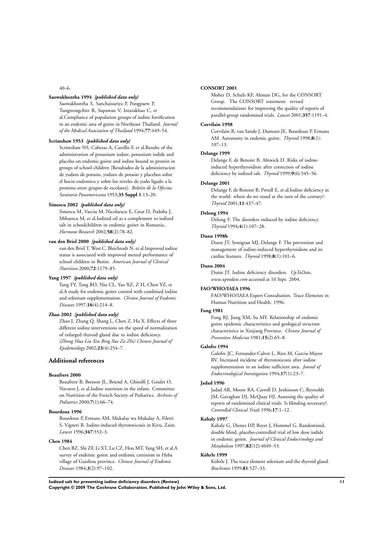40–6.

#### **Saowakhontha 1994** *{published data only}*

Saowakhontha S, Sanchaisuriya P, Pongpaew P, Tungtrongchitr R, Supawan V, Intarakhao C, et al.Compliance of population groups of iodine fortification in an endemic area of goitre in Northeast Thailand. *Journal of the Medical Association of Thailand* 1994;**77**:449–54.

#### **Scrimshaw 1953** *{published data only}*

Scrimshaw NS, Cabezas A, Castillo F, et al.Results of the administration of potassium iodate, potassium iodide and placebo on endemic goitre and iodine bound to protein in groups of school children [Resultados de la administracion de yodato de potasio, yoduro de potasio y placebos sobre el bocio endemico y sobre los niveles de yodo ligado a la proteina entre grupos de escolares]. *Boletín de la Oficina Sanitaria Panamericana* 1953;**35 Suppl 1**:13–20.

#### **Simescu 2002** *{published data only}*

Simescu M, Varciu M, Nicolaescu E, Gnat D, Podoba J, Mihaescu M, et al.Iodized oil as a complement to iodized salt in schoolchildren in endemic goiter in Romania.. *Hormone Research* 2002;**58**(2):78–82.

#### **van den Briel 2000** *{published data only}*

van den Briel T, West C, Bleichrodt N, et al.Improved iodine status is associated with improved mental performance of school children in Benin. *American Journal of Clinical Nutrition* 2000;**72**:1179–85.

### **Yang 1997** *{published data only}*

Yang FY, Tang BD, Niu CL, Yao XZ, Z H, Chen YZ, et al.A study for endemic goiter control with combined iodine and selenium supplementation. *Chinese Journal of Endemic Diseases* 1997;**16**(4):214–8.

#### **Zhao 2002** *{published data only}*

Zhao J, Zhang Q, Shang L, Chen Z, Hu X. Effects of three different iodine interventions on the speed of normalization of enlarged thyroid gland due to iodine deficiency. *(Zhong Hua Liu Xin Bing Xue Za Zhi) Chinese Journal of Epidemiology* 2002;**23**(4):254–7.

### **Additional references**

### **Beaufrere 2000**

Beaufrere B, Bresson JL, Briend A, Ghisolfi J, Goulet O, Navarro J, et al.Iodine nutrition in the infant. Committee on Nutrition of the French Society of Pediatrics. *Archives of Pediatrics* 2000;**7**(1):66–74.

#### **Bourdoux 1996**

Bourdoux P, Ermans AM, Mukalay wa Mukalay A, Filetti S, Vigneri R. Iodine-induced thyrotoxicosis in Kivu, Zaire. *Lancet* 1996;**347**:552–3.

#### **Chen 1984**

Chen BZ, Shi ZF, Li XT, Lu CZ, Hou MT, Yang SH, et al.A survey of endemic goitre and endemic cretinism in Heba village of Guizhou province. *Chinese Journal of Endemic Diseases* 1984;**3**(2):97–102.

#### **CONSORT 2001**

Moher D, Schulz KF, Altman DG, for the CONSORT Group. The CONSORT statement: revised recommendations for improving the quality of reports of parallel-group randomised trials. *Lancet* 2001;**357**:1191–4.

### **Corvilain 1998**

Corvilain B, van Sande J, Dumont JE, Bourdoux P, Ermans AM. Autonomy in endemic goitre. *Thyroid* 1998;**8**(1): 107–13.

#### **Delange 1999**

Delange F, de Benoist B, Alnwick D. Risks of iodineinduced hyperthyroidism after correction of iodine deficiency by iodized salt. *Thyroid* 1999;**9**(6):545–56.

### **Delange 2001**

Delange F, de Benoist B, Pretell E, et al.Iodine deficiency in the world: where do we stand at the turn of the century?. *Thyroid* 2001;**11**:437–47.

#### **Delong 1994**

Delong F. The disorders induced by iodine deficiency. *Thyroid* 1994;**4**(1):107–28.

### **Dunn 1998b**

Dunn JT, Semigran MJ, Delange F. The prevention and management of iodine-induced hyperthyroidism and its cardiac features. *Thyroid* 1998;**8**(1):101–6.

#### **Dunn 2004**

Dunn JT. Iodine deficiency disorders. *UpToDate, www.uptodate.com* accessed at 10 Sept. 2004.

#### **FAO/WHO/IAEA 1996**

FAO/WHO/IAEA Expert Consultation. Trace Elements in Human Nutrition and Health. 1996.

### **Fong 1981**

Fong RJ, Jiang XM, Su MY. Relationship of endemic goitre epidemic characteristics and geological structure characteristics in Xinjiang Province. *Chinese Journal of Preventive Medicine* 1981;**15**(2):65–8.

#### **Galofre 1994**

Galofre JC, Fernandez-Calvet L, Rios M, Garcia-Mayor RV. Increased incidene of thyrotoxicosis after iodine supplementation in an iodine sufficient area. *Jounal of Endocrinological Investigation* 1994;**17**(1):23–7.

#### **Jadad 1996**

Jadad AR, Moore RA, Carroll D, Jenkinson C, Reynolds JM, Gavaghan DJ, McQuay HJ. Assessing the quality of reports of randomized clinical trials: Is blinding necessary?. *Controlled Clinical Trials* 1996;**17**:1–12.

#### **Kahaly 1997**

Kahaly G, Dienes HP, Beyer J, Hommel G. Randomized, double blind, placebo-controlled trial of low dose iodide in endemic goitre. *Journal of Clinical Endocrinology and Metabolism* 1997;**82**(12):4049–53.

#### **Köhrle 1999**

Köhrle J. The trace element selenium and the thyroid gland. *Biochimie* 1999;**81**:527–33.

**Iodised salt for preventing iodine deficiency disorders (Review) 11**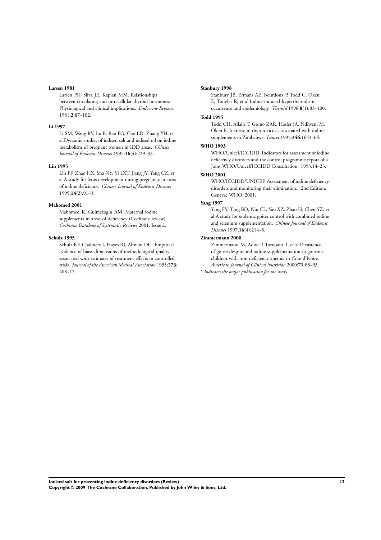### **Larsen 1981**

Larsen PR, Silva JE, Kaplan MM. Relationships between circulating and intracellular thyroid hormones: Physiological and clinical implications. *Endocrine Reviews* 1981;**2**:87–102.

#### **Li 1997**

Li SM, Wang RY, Lu B, Rao FG, Gao LD, Zhang YH, et al.Dynamic studies of iodised salt and iodised oil on iodine metabolism of pregnant women in IDD areas. *Chinese Journal of Endemic Diseases* 1997;**16**(4):229–33.

### **Lin 1995**

Lin FF, Zhao HX, Sha NY, Yi LXT, Jiang JY, Yang CZ, et al.A study for fetus development during pregnancy in areas of iodine deficiency. *Chinese Journal of Endemic Diseases* 1995;**14**(2):91–3.

#### **Mahomed 2001**

Mahomed K, Gulmezoglu AM. Maternal iodine supplements in areas of deficiency (Cochrane review). *Cochrane Database of Systematic Reviews* 2001, Issue 2.

#### **Schulz 1995**

Schulz KF, Chalmers I, Hayes RJ, Altman DG. Empirical evidence of bias: dimensions of methodological quality associated with estimates of treatment effects in controlled trials. *Journal of the American Medical Association* 1995;**273**: 408–12.

#### **Stanbury 1998**

Stanbury JB, Ermans AE, Bourdoux P, Todd C, Oken E, Tonglet R, et al.Iodine-induced hyperthyroidism: occurrence and epidemiology. *Thyroid* 1998;**8**(1):83–100.

### **Todd 1995**

Todd CH, Allain T, Gomo ZAR, Hasler JA, Ndiweni M, Oken E. Increase in thyrotoxicosis associated with iodine supplements in Zimbabwe. *Lancet* 1995;**346**:1653–64.

### **WHO 1993**

WHO/Unicef/ICCIDD. Indicators for assessment of iodine deficiency disorders and the control programme report of a Joint WHO/Unicef/ICCIDD Consultation. 1993:14–23.

### **WHO 2001**

WHO/ICCIDD/UNICEF. Assessment of iodine deficiency disorders and monitoring their elimination.. 2nd Edition. Geneva: WHO, 2001.

### **Yang 1997**

Yang FY, Tang BD, Niu CL, Yao XZ, Zhao H, Chen YZ, et al.A study for endemic goiter control with combined iodine and selenium supplementation. *Chinese Journal of Endemic Diseases* 1997;**16**(4):214–8.

### **Zimmermann 2000**

Zimmermann M, Adou P, Torresani T, et al.Persistence of goitre despite oral iodine supplementation in goitrous children with iron deficiency anemia in Côte d'Ivoire. *American Journal of Clinical Nutrition* 2000;**71**:88–93.

∗ *Indicates the major publication for the study*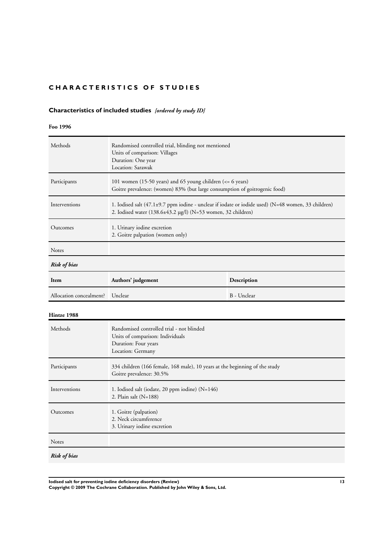# <span id="page-14-0"></span>**CHARACTERISTICS OF STUDIES**

# **Characteristics of included studies** *[ordered by study ID]*

**Foo 1996**

| Methods                 | Randomised controlled trial, blinding not mentioned<br>Units of comparison: Villages<br>Duration: One year<br>Location: Sarawak                                    |                                                                                                                                          |  |  |  |  |
|-------------------------|--------------------------------------------------------------------------------------------------------------------------------------------------------------------|------------------------------------------------------------------------------------------------------------------------------------------|--|--|--|--|
| Participants            |                                                                                                                                                                    | 101 women (15-50 years) and 65 young children (<= 6 years)<br>Goitre prevalence: (women) 83% (but large consumption of goitrogenic food) |  |  |  |  |
| Interventions           | 1. Iodised salt (47.1±9.7 ppm iodine - unclear if iodate or iodide used) (N=48 women, 33 children)<br>2. Iodised water (138.6±43.2 µg/l) (N=53 women, 32 children) |                                                                                                                                          |  |  |  |  |
| Outcomes                | 1. Urinary iodine excretion<br>2. Goitre palpation (women only)                                                                                                    |                                                                                                                                          |  |  |  |  |
| Notes                   |                                                                                                                                                                    |                                                                                                                                          |  |  |  |  |
| <b>Risk of bias</b>     |                                                                                                                                                                    |                                                                                                                                          |  |  |  |  |
| Item                    | Description<br>Authors' judgement                                                                                                                                  |                                                                                                                                          |  |  |  |  |
| Allocation concealment? | Unclear                                                                                                                                                            | B - Unclear                                                                                                                              |  |  |  |  |
| Hintze 1988             |                                                                                                                                                                    |                                                                                                                                          |  |  |  |  |
| Methods                 | Randomised controlled trial - not blinded<br>Units of comparison: Individuals<br>Duration: Four years<br>Location: Germany                                         |                                                                                                                                          |  |  |  |  |
| Participants            | 334 children (166 female, 168 male), 10 years at the beginning of the study<br>Goitre prevalence: 30.5%                                                            |                                                                                                                                          |  |  |  |  |
| Interventions           | 1. Iodised salt (iodate, 20 ppm iodine) (N=146)<br>2. Plain salt (N=188)                                                                                           |                                                                                                                                          |  |  |  |  |
| Outcomes                | 1. Goitre (palpation)<br>2. Neck circumference<br>3. Urinary iodine excretion                                                                                      |                                                                                                                                          |  |  |  |  |

Notes

*Risk of bias*

**Iodised salt for preventing iodine deficiency disorders (Review) 13**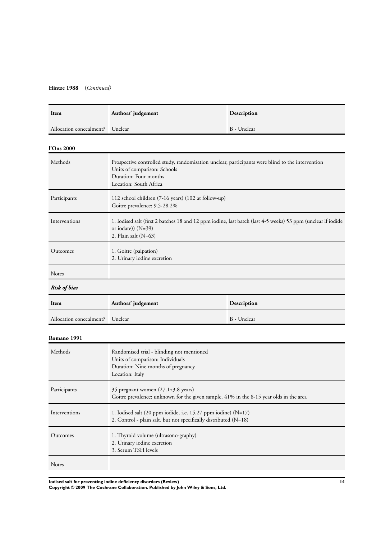### **Hintze 1988** (*Continued)*

| Item                    | Authors' judgement                                                                                                                                                                  | Description                                                                                                  |  |  |
|-------------------------|-------------------------------------------------------------------------------------------------------------------------------------------------------------------------------------|--------------------------------------------------------------------------------------------------------------|--|--|
| Allocation concealment? | Unclear                                                                                                                                                                             | B - Unclear                                                                                                  |  |  |
| l'Ons 2000              |                                                                                                                                                                                     |                                                                                                              |  |  |
| Methods                 | Prospective controlled study, randomisation unclear, participants were blind to the intervention<br>Units of comparison: Schools<br>Duration: Four months<br>Location: South Africa |                                                                                                              |  |  |
| Participants            | 112 school children (7-16 years) (102 at follow-up)<br>Goitre prevalence: 9.5-28.2%                                                                                                 |                                                                                                              |  |  |
| Interventions           | or iodate)) $(N=39)$<br>2. Plain salt (N=63)                                                                                                                                        | 1. Iodised salt (first 2 batches 18 and 12 ppm iodine, last batch (last 4-5 weeks) 53 ppm (unclear if iodide |  |  |
| Outcomes                | 1. Goitre (palpation)<br>2. Urinary iodine excretion                                                                                                                                |                                                                                                              |  |  |
| <b>Notes</b>            |                                                                                                                                                                                     |                                                                                                              |  |  |
| <b>Risk of bias</b>     |                                                                                                                                                                                     |                                                                                                              |  |  |
| Item                    | Authors' judgement                                                                                                                                                                  | Description                                                                                                  |  |  |
| Allocation concealment? | Unclear                                                                                                                                                                             | B - Unclear                                                                                                  |  |  |
| Romano 1991             |                                                                                                                                                                                     |                                                                                                              |  |  |
| Methods                 | Randomised trial - blinding not mentioned<br>Units of comparison: Individuals<br>Duration: Nine months of pregnancy<br>Location: Italy                                              |                                                                                                              |  |  |
| Participants            | 35 pregnant women (27.1±3.8 years)<br>Goitre prevalence: unknown for the given sample, 41% in the 8-15 year olds in the area                                                        |                                                                                                              |  |  |
| Interventions           | 1. Iodised salt (20 ppm iodide, i.e. 15.27 ppm iodine) (N=17)<br>2. Control - plain salt, but not specifically distributed (N=18)                                                   |                                                                                                              |  |  |
| Outcomes                | 1. Thyroid volume (ultrasono-graphy)<br>2. Urinary iodine excretion<br>3. Serum TSH levels                                                                                          |                                                                                                              |  |  |
| Notes                   |                                                                                                                                                                                     |                                                                                                              |  |  |

**Iodised salt for preventing iodine deficiency disorders (Review) 14**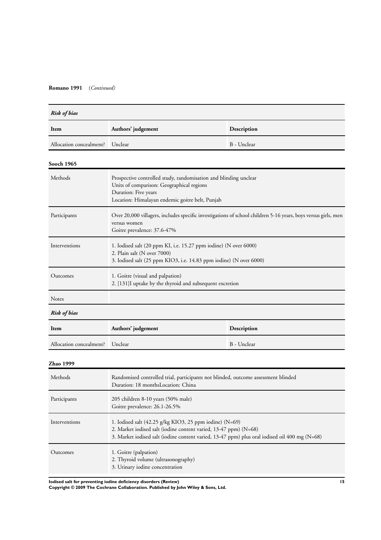### **Romano 1991** (*Continued)*

| <b>Risk of bias</b>     |                                                                                                                                                                                                                              |                                                                                                               |  |  |  |  |
|-------------------------|------------------------------------------------------------------------------------------------------------------------------------------------------------------------------------------------------------------------------|---------------------------------------------------------------------------------------------------------------|--|--|--|--|
| Item                    | Authors' judgement<br>Description                                                                                                                                                                                            |                                                                                                               |  |  |  |  |
| Allocation concealment? | Unclear                                                                                                                                                                                                                      | B - Unclear                                                                                                   |  |  |  |  |
| Sooch 1965              |                                                                                                                                                                                                                              |                                                                                                               |  |  |  |  |
| Methods                 | Prospective controlled study, randomisation and blinding unclear<br>Units of comparison: Geographical regions<br>Duration: Five years<br>Location: Himalayan endemic goitre belt, Punjab                                     |                                                                                                               |  |  |  |  |
| Participants            | versus women<br>Goitre prevalence: 37.6-47%                                                                                                                                                                                  | Over 20,000 villagers, includes specific investigations of school children 5-16 years, boys versus girls, men |  |  |  |  |
| Interventions           | 1. Iodised salt (20 ppm KI, i.e. 15.27 ppm iodine) (N over 6000)<br>2. Plain salt (N over 7000)<br>3. Iodised salt (25 ppm KIO3, i.e. 14.83 ppm iodine) (N over 6000)                                                        |                                                                                                               |  |  |  |  |
| Outcomes                | 1. Goitre (visual and palpation)<br>2. [131] uptake by the thyroid and subsequent excretion                                                                                                                                  |                                                                                                               |  |  |  |  |
| <b>Notes</b>            |                                                                                                                                                                                                                              |                                                                                                               |  |  |  |  |
| <b>Risk of bias</b>     |                                                                                                                                                                                                                              |                                                                                                               |  |  |  |  |
| Item                    | Authors' judgement                                                                                                                                                                                                           | Description                                                                                                   |  |  |  |  |
| Allocation concealment? | Unclear                                                                                                                                                                                                                      | B - Unclear                                                                                                   |  |  |  |  |
| Zhao 1999               |                                                                                                                                                                                                                              |                                                                                                               |  |  |  |  |
| Methods                 | Randomised controlled trial, participants not blinded, outcome assessment blinded<br>Duration: 18 monthsLocation: China                                                                                                      |                                                                                                               |  |  |  |  |
| Participants            | 205 children 8-10 years (50% male)<br>Goitre prevalence: 26.1-26.5%                                                                                                                                                          |                                                                                                               |  |  |  |  |
| Interventions           | 1. Iodised salt (42.25 g/kg KIO3, 25 ppm iodine) (N=69)<br>2. Market iodised salt (iodine content varied, 13-47 ppm) (N=68)<br>3. Market iodised salt (iodine content varied, 13-47 ppm) plus oral iodised oil 400 mg (N=68) |                                                                                                               |  |  |  |  |
| Outcomes                | 1. Goitre (palpation)<br>2. Thyroid volume (ultrasonography)<br>3. Urinary iodine concentration                                                                                                                              |                                                                                                               |  |  |  |  |

**Iodised salt for preventing iodine deficiency disorders (Review) 15**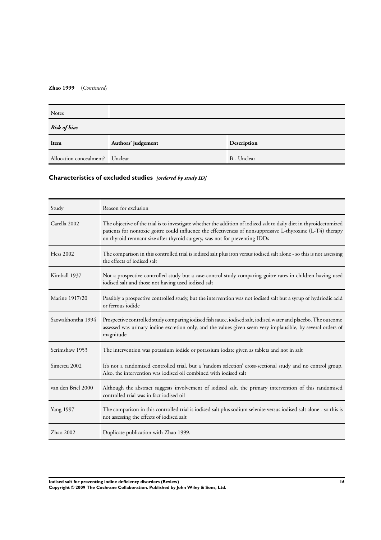### <span id="page-17-0"></span>**Zhao 1999** (*Continued)*

| Notes                           |                    |             |
|---------------------------------|--------------------|-------------|
| <b>Risk of bias</b>             |                    |             |
| Item                            | Authors' judgement | Description |
| Allocation concealment? Unclear |                    | B - Unclear |

# **Characteristics of excluded studies** *[ordered by study ID]*

| Study              | Reason for exclusion                                                                                                                                                                                                                                                                                             |
|--------------------|------------------------------------------------------------------------------------------------------------------------------------------------------------------------------------------------------------------------------------------------------------------------------------------------------------------|
| Carella 2002       | The objective of the trial is to investigate whether the addition of iodized salt to daily diet in thyroidectomized<br>patients for nontoxic goitre could influence the effectiveness of nonsuppressive L-thyroxine (L-T4) therapy<br>on thyroid remnant size after thyroid surgery, was not for preventing IDDs |
| <b>Hess 2002</b>   | The comparison in this controlled trial is iodised salt plus iron versus iodised salt alone - so this is not assessing<br>the effects of iodised salt                                                                                                                                                            |
| Kimball 1937       | Not a prospective controlled study but a case-control study comparing goitre rates in children having used<br>iodised salt and those not having used iodised salt                                                                                                                                                |
| Marine 1917/20     | Possibly a prospective controlled study, but the intervention was not iodised salt but a syrup of hydriodic acid<br>or ferrous iodide                                                                                                                                                                            |
| Saowakhontha 1994  | Prospective controlled study comparing iodised fish sauce, iodised salt, iodised water and placebo. The outcome<br>assessed was urinary iodine excretion only, and the values given seem very implausible, by several orders of<br>magnitude                                                                     |
| Scrimshaw 1953     | The intervention was potassium iodide or potassium iodate given as tablets and not in salt                                                                                                                                                                                                                       |
| Simescu 2002       | It's not a randomised controlled trial, but a 'random selection' cross-sectional study and no control group.<br>Also, the intervention was iodised oil combined with iodised salt                                                                                                                                |
| van den Briel 2000 | Although the abstract suggests involvement of iodised salt, the primary intervention of this randomised<br>controlled trial was in fact iodised oil                                                                                                                                                              |
| Yang 1997          | The comparison in this controlled trial is iodised salt plus sodium selenite versus iodised salt alone - so this is<br>not assessing the effects of iodised salt                                                                                                                                                 |
| Zhao 2002          | Duplicate publication with Zhao 1999.                                                                                                                                                                                                                                                                            |

**Iodised salt for preventing iodine deficiency disorders (Review) 16**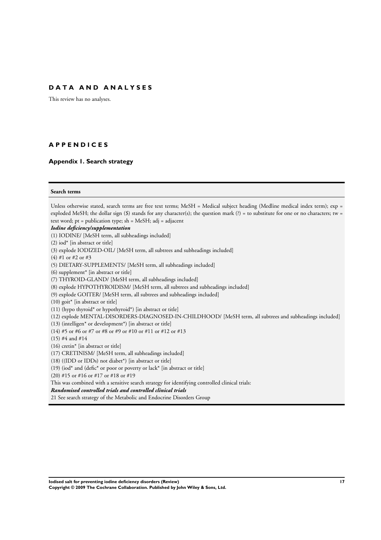# <span id="page-18-0"></span>**D A T A A N D A N A L Y S E S**

This review has no analyses.

# **A P P E N D I C E S**

### **Appendix 1. Search strategy**

### **Search terms**

Unless otherwise stated, search terms are free text terms; MeSH = Medical subject heading (Medline medical index term); exp = exploded MeSH; the dollar sign (\$) stands for any character(s); the question mark (?) = to substitute for one or no characters; tw = text word; pt = publication type; sh = MeSH; adj = adjacent *Iodine deficiency/supplementation* (1) IODINE/ [MeSH term, all subheadings included] (2) iod\* [in abstract or title] (3) explode IODIZED-OIL/ [MeSH term, all subtrees and subheadings included] (4) #1 or #2 or #3 (5) DIETARY-SUPPLEMENTS/ [MeSH term, all subheadings included] (6) supplement\* [in abstract or title] (7) THYROID-GLAND/ [MeSH term, all subheadings included] (8) explode HYPOTHYROIDISM/ [MeSH term, all subtrees and subheadings included] (9) explode GOITER/ [MeSH term, all subtrees and subheadings included] (10) goit\* [in abstract or title] (11) (hypo thyroid\* or hypothyroid\*) [in abstract or title] (12) explode MENTAL-DISORDERS-DIAGNOSED-IN-CHILDHOOD/ [MeSH term, all subtrees and subheadings included] (13) (intelligen\* or development\*) [in abstract or title] (14) #5 or #6 or #7 or #8 or #9 or #10 or #11 or #12 or #13 (15) #4 and #14 (16) cretin\* [in abstract or title] (17) CRETINISM/ [MeSH term, all subheadings included] (18) ((IDD or IDDs) not diabet\*) [in abstract or title] (19) (iod\* and (defic\* or poor or poverty or lack\* [in abstract or title] (20) #15 or #16 or #17 or #18 or #19 This was combined with a sensitive search strategy for identifying controlled clinical trials: *Randomised controlled trials and controlled clinical trials* 21 See search strategy of the Metabolic and Endocrine Disorders Group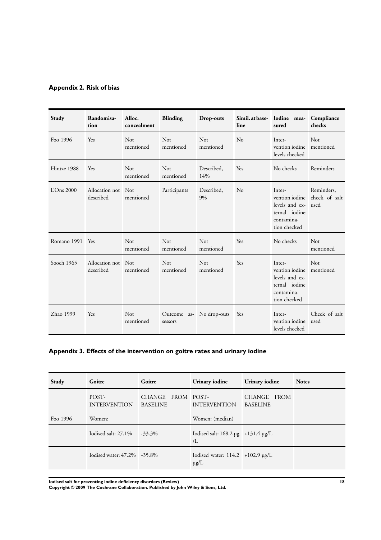# <span id="page-19-0"></span>**Appendix 2. Risk of bias**

| Study           | Randomisa-<br>tion              | Alloc.<br>concealment   | <b>Blinding</b>                     | Drop-outs         | line           | Simil. at base- Iodine mea- Compliance<br>sured                                           | checks                              |
|-----------------|---------------------------------|-------------------------|-------------------------------------|-------------------|----------------|-------------------------------------------------------------------------------------------|-------------------------------------|
| Foo 1996        | Yes                             | <b>Not</b><br>mentioned | Not<br>mentioned                    | Not<br>mentioned  | No             | Inter-<br>vention iodine<br>levels checked                                                | Not<br>mentioned                    |
| Hintze 1988     | Yes                             | Not<br>mentioned        | Not<br>mentioned                    | Described,<br>14% | Yes            | No checks                                                                                 | Reminders                           |
| L'Ons 2000      | Allocation not Not<br>described | mentioned               | Participants                        | Described,<br>9%  | N <sub>o</sub> | Inter-<br>vention iodine<br>levels and ex-<br>ternal iodine<br>contamina-<br>tion checked | Reminders,<br>check of salt<br>used |
| Romano 1991 Yes |                                 | <b>Not</b><br>mentioned | Not<br>mentioned                    | Not<br>mentioned  | Yes            | No checks                                                                                 | Not<br>mentioned                    |
| Sooch 1965      | Allocation not Not<br>described | mentioned               | Not<br>mentioned                    | Not<br>mentioned  | Yes            | Inter-<br>vention iodine<br>levels and ex-<br>ternal iodine<br>contamina-<br>tion checked | Not<br>mentioned                    |
| Zhao 1999       | Yes                             | Not<br>mentioned        | Outcome as- No drop-outs<br>sessors |                   | Yes            | Inter-<br>vention iodine<br>levels checked                                                | Check of salt<br>used               |

# **Appendix 3. Effects of the intervention on goitre rates and urinary iodine**

| Study    | Goitre                       | Goitre                               | Urinary iodine                                      | Urinary iodine                 | <b>Notes</b> |
|----------|------------------------------|--------------------------------------|-----------------------------------------------------|--------------------------------|--------------|
|          | POST-<br><b>INTERVENTION</b> | CHANGE FROM POST-<br><b>BASELINE</b> | <b>INTERVENTION</b>                                 | CHANGE FROM<br><b>BASELINE</b> |              |
| Foo 1996 | Women:                       |                                      | Women: (median)                                     |                                |              |
|          | Iodised salt: 27.1% -33.3%   |                                      | Iodised salt: $168.2 \mu g$ + 131.4 $\mu g/L$<br>/L |                                |              |
|          | Iodised water: 47.2% -35.8%  |                                      | Iodised water: $114.2 + 102.9 \mu g/L$<br>$\mu g/L$ |                                |              |

**Iodised salt for preventing iodine deficiency disorders (Review) 18**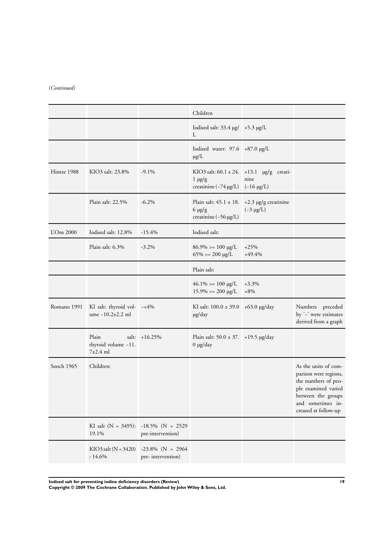### (*Continued)*

|             |                                                      |                                           | Children                                                                                                |                      |                                                                                                                                                                |
|-------------|------------------------------------------------------|-------------------------------------------|---------------------------------------------------------------------------------------------------------|----------------------|----------------------------------------------------------------------------------------------------------------------------------------------------------------|
|             |                                                      |                                           | Iodised salt: $33.4 \text{ µg} / +5.3 \text{ µg} / L$<br>L                                              |                      |                                                                                                                                                                |
|             |                                                      |                                           | Iodised water: $97.6 + 87.0 \mu g/L$<br>$\mu g/L$                                                       |                      |                                                                                                                                                                |
| Hintze 1988 | KIO3 salt: 23.8%                                     | $-9.1\%$                                  | KIO3 salt: $60.1 \pm 24$ . +13.1<br>$1 \mu g/g$<br>creatinine $(-74 \text{ µg/L})$ $(-16 \text{ µg/L})$ | µg/g creati-<br>nine |                                                                                                                                                                |
|             | Plain salt: 22.5%                                    | $-6.2\%$                                  | Plain salt: $45.1 \pm 18$ . +2.3 µg/g creatinine<br>$6 \mu g/g$<br>creatinine $(-56 \mu g/L)$           | $(-3 \mu g/L)$       |                                                                                                                                                                |
| L'Ons 2000  | Iodised salt: 12.8%                                  | $-15.4%$                                  | Iodised salt:                                                                                           |                      |                                                                                                                                                                |
|             | Plain salt: 6.3%                                     | $-3.2\%$                                  | $86.9\% > 100 \text{ µg/L}$<br>$65\% > = 200 \text{ µg/L}$                                              | $+25%$<br>$+49.4%$   |                                                                                                                                                                |
|             |                                                      |                                           | Plain salt:                                                                                             |                      |                                                                                                                                                                |
|             |                                                      |                                           | $46.1\% > 100 \text{ µg/L}$<br>$15.9\% > = 200 \text{ µg/L}$                                            | $+3.3%$<br>$+8%$     |                                                                                                                                                                |
| Romano 1991 | KI salt: thyroid vol- ~+4%<br>ume -10.2±2.2 ml       |                                           | KI salt: $100.0 \pm 39.0 + 63.0$ µg/day<br>$\mu$ g/day                                                  |                      | Numbers preceded<br>by '-' were estimates<br>derived from a graph                                                                                              |
|             | Plain<br>thyroid volume ~11.<br>$7±2.4$ ml           | salt: +16.25%                             | Plain salt: 50.0 ± 37. +19.5 µg/day<br>$0$ µg/day                                                       |                      |                                                                                                                                                                |
| Sooch 1965  | Children:                                            |                                           |                                                                                                         |                      | As the units of com-<br>parison were regions,<br>the numbers of peo-<br>ple examined varied<br>between the groups<br>and sometimes in-<br>creased at follow-up |
|             | KI salt (N = $3495$ ): $-18.5\%$ (N = 2529)<br>19.1% | pre-intervention)                         |                                                                                                         |                      |                                                                                                                                                                |
|             | $KIO3$ salt (N = 3420)<br>$: 14.6\%$                 | $-23.8\%$ (N = 2964)<br>pre-intervention) |                                                                                                         |                      |                                                                                                                                                                |

**Iodised salt for preventing iodine deficiency disorders (Review) 19**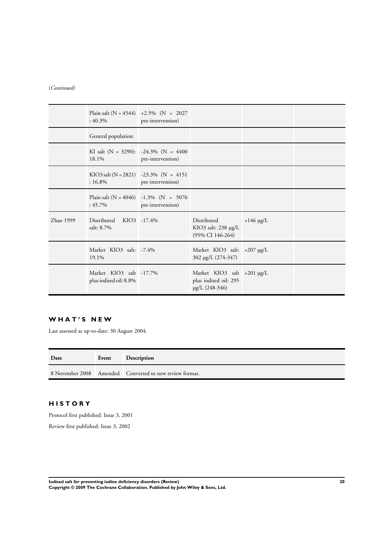### (*Continued)*

|           | Plain salt (N = $4544$ ) +2.5% (N = 2027<br>$:40.3\%$ | pre-intervention) |                                                                       |                |  |
|-----------|-------------------------------------------------------|-------------------|-----------------------------------------------------------------------|----------------|--|
|           | General population:                                   |                   |                                                                       |                |  |
|           | KI salt (N = 3290): $-24.3\%$ (N = 4400<br>18.1%      | pre-intervention) |                                                                       |                |  |
|           | KIO3 salt (N = 2821) -23.3% (N = 4151<br>$:16.8\%$    | pre-intervention) |                                                                       |                |  |
|           | Plain salt (N = $4046$ ) -1.3% (N = 5076<br>$:45.7\%$ | pre-intervention) |                                                                       |                |  |
| Zhao 1999 | Distributed KIO3 -17.4%<br>salt: 8.7%                 |                   | Distributed<br>KIO3 salt: 238 µg/L<br>(95% CI 146-264)                | $+146 \mu g/L$ |  |
|           | Market KIO3 salt: -7.4%<br>19.1%                      |                   | Market KIO3 salt: +207 µg/L<br>302 µg/L (274-347)                     |                |  |
|           | Market KIO3 salt -17.7%<br>plus iodised oil: 8.8%     |                   | Market KIO3 salt +201 µg/L<br>plus iodised oil: 295<br>µg/L (248-346) |                |  |

# **W H A T ' S N E W**

Last assessed as up-to-date: 30 August 2004.

| Date | Event | <b>Description</b>                                      |
|------|-------|---------------------------------------------------------|
|      |       | 8 November 2008 Amended Converted to new review format. |

# **H I S T O R Y**

Protocol first published: Issue 3, 2001 Review first published: Issue 3, 2002

**Iodised salt for preventing iodine deficiency disorders (Review) 20**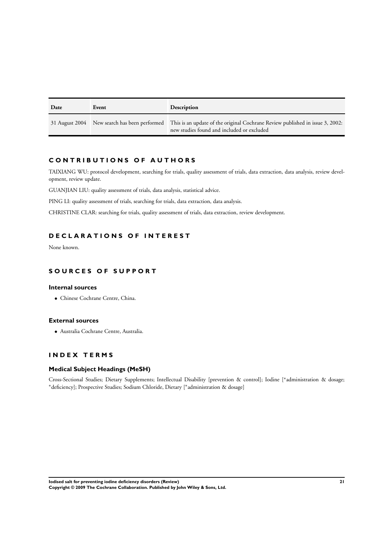| Date | Event | <b>Description</b>                                                                                                                                                       |
|------|-------|--------------------------------------------------------------------------------------------------------------------------------------------------------------------------|
|      |       | 31 August 2004 New search has been performed This is an update of the original Cochrane Review published in issue 3, 2002:<br>new studies found and included or excluded |

### **C O N T R I B U T I O N S O F A U T H O R S**

TAIXIANG WU: protocol development, searching for trials, quality assessment of trials, data extraction, data analysis, review development, review update.

GUANJIAN LIU: quality assessment of trials, data analysis, statistical advice.

PING LI: quality assessment of trials, searching for trials, data extraction, data analysis.

CHRISTINE CLAR: searching for trials, quality assessment of trials, data extraction, review development.

# **D E C L A R A T I O N S O F I N T E R E S T**

None known.

# **S O U R C E S O F S U P P O R T**

#### **Internal sources**

• Chinese Cochrane Centre, China.

### **External sources**

• Australia Cochrane Centre, Australia.

# **I N D E X T E R M S**

### **Medical Subject Headings (MeSH)**

Cross-Sectional Studies; Dietary Supplements; Intellectual Disability [prevention & control]; Iodine [<sup>∗</sup> administration & dosage; <sup>∗</sup>deficiency]; Prospective Studies; Sodium Chloride, Dietary [<sup>∗</sup> administration & dosage]